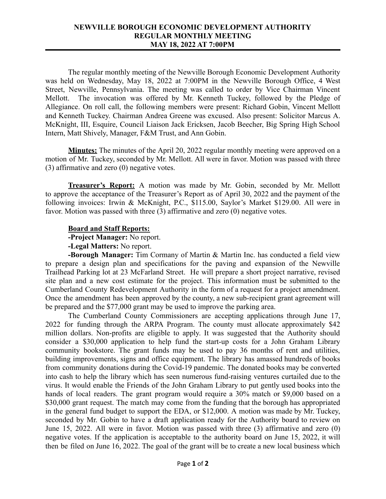## **NEWVILLE BOROUGH ECONOMIC DEVELOPMENT AUTHORITY REGULAR MONTHLY MEETING MAY 18, 2022 AT 7:00PM**

The regular monthly meeting of the Newville Borough Economic Development Authority was held on Wednesday, May 18, 2022 at 7:00PM in the Newville Borough Office, 4 West Street, Newville, Pennsylvania. The meeting was called to order by Vice Chairman Vincent Mellott. The invocation was offered by Mr. Kenneth Tuckey, followed by the Pledge of Allegiance. On roll call, the following members were present: Richard Gobin, Vincent Mellott and Kenneth Tuckey. Chairman Andrea Greene was excused. Also present: Solicitor Marcus A. McKnight, III, Esquire, Council Liaison Jack Ericksen, Jacob Beecher, Big Spring High School Intern, Matt Shively, Manager, F&M Trust, and Ann Gobin.

**Minutes:** The minutes of the April 20, 2022 regular monthly meeting were approved on a motion of Mr. Tuckey, seconded by Mr. Mellott. All were in favor. Motion was passed with three (3) affirmative and zero (0) negative votes.

**Treasurer's Report:** A motion was made by Mr. Gobin, seconded by Mr. Mellott to approve the acceptance of the Treasurer's Report as of April 30, 2022 and the payment of the following invoices: Irwin & McKnight, P.C., \$115.00, Saylor's Market \$129.00. All were in favor. Motion was passed with three (3) affirmative and zero (0) negative votes.

## **Board and Staff Reports:**

**-Project Manager:** No report.

## **-Legal Matters:** No report.

**-Borough Manager:** Tim Cormany of Martin & Martin Inc. has conducted a field view to prepare a design plan and specifications for the paving and expansion of the Newville Trailhead Parking lot at 23 McFarland Street. He will prepare a short project narrative, revised site plan and a new cost estimate for the project. This information must be submitted to the Cumberland County Redevelopment Authority in the form of a request for a project amendment. Once the amendment has been approved by the county, a new sub-recipient grant agreement will be prepared and the \$77,000 grant may be used to improve the parking area.

The Cumberland County Commissioners are accepting applications through June 17, 2022 for funding through the ARPA Program. The county must allocate approximately \$42 million dollars. Non-profits are eligible to apply. It was suggested that the Authority should consider a \$30,000 application to help fund the start-up costs for a John Graham Library community bookstore. The grant funds may be used to pay 36 months of rent and utilities, building improvements, signs and office equipment. The library has amassed hundreds of books from community donations during the Covid-19 pandemic. The donated books may be converted into cash to help the library which has seen numerous fund-raising ventures curtailed due to the virus. It would enable the Friends of the John Graham Library to put gently used books into the hands of local readers. The grant program would require a 30% match or \$9,000 based on a \$30,000 grant request. The match may come from the funding that the borough has appropriated in the general fund budget to support the EDA, or \$12,000. A motion was made by Mr. Tuckey, seconded by Mr. Gobin to have a draft application ready for the Authority board to review on June 15, 2022. All were in favor. Motion was passed with three (3) affirmative and zero (0) negative votes. If the application is acceptable to the authority board on June 15, 2022, it will then be filed on June 16, 2022. The goal of the grant will be to create a new local business which